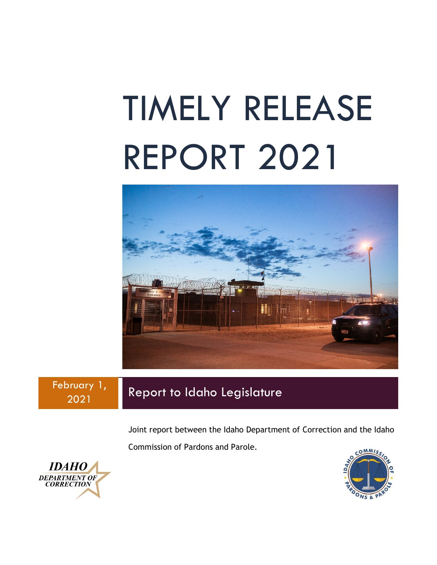# TIMELY RELEASE REPORT 2021



February 1, 2021 Report to Idaho Legislature

Joint report between the Idaho Department of Correction and the Idaho

Commission of Pardons and Parole.



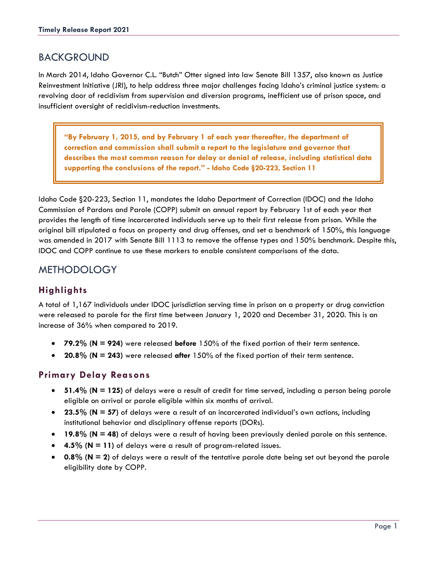## BACKGROUND

In March 2014, Idaho Governor C.L. "Butch" Otter signed into law Senate Bill 1357, also known as Justice Reinvestment Initiative (JRI), to help address three major challenges facing Idaho's criminal justice system: a revolving door of recidivism from supervision and diversion programs, inefficient use of prison space, and insufficient oversight of recidivism-reduction investments.

**"By February 1, 2015, and by February 1 of each year thereafter, the department of correction and commission shall submit a report to the legislature and governor that describes the most common reason for delay or denial of release, including statistical data supporting the conclusions of the report." - Idaho Code §20-223, Section 11**

Idaho Code §20-223, Section 11, mandates the Idaho Department of Correction (IDOC) and the Idaho Commission of Pardons and Parole (COPP) submit an annual report by February 1st of each year that provides the length of time incarcerated individuals serve up to their first release from prison. While the original bill stipulated a focus on property and drug offenses, and set a benchmark of 150%, this language was amended in 2017 with Senate Bill 1113 to remove the offense types and 150% benchmark. Despite this, IDOC and COPP continue to use these markers to enable consistent comparisons of the data.

## **METHODOLOGY**

## **Highlights**

A total of 1,167 individuals under IDOC jurisdiction serving time in prison on a property or drug conviction were released to parole for the first time between January 1, 2020 and December 31, 2020. This is an increase of 36% when compared to 2019.

- **79.2% (N = 924)** were released **before** 150% of the fixed portion of their term sentence.
- **20.8% (N = 243)** were released **after** 150% of the fixed portion of their term sentence.

## **Primary Delay Reasons**

- **51.4% (N = 125)** of delays were a result of credit for time served, including a person being parole eligible on arrival or parole eligible within six months of arrival.
- **23.5% (N = 57)** of delays were a result of an incarcerated individual's own actions, including institutional behavior and disciplinary offense reports (DORs).
- **19.8% (N = 48)** of delays were a result of having been previously denied parole on this sentence.
- **4.5% (N = 11)** of delays were a result of program-related issues.
- **0.8% (N = 2)** of delays were a result of the tentative parole date being set out beyond the parole eligibility date by COPP.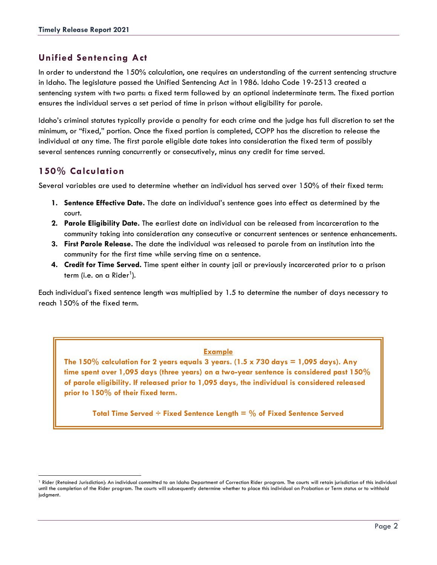## **Unified Sentencing Act**

In order to understand the 150% calculation, one requires an understanding of the current sentencing structure in Idaho. The legislature passed the Unified Sentencing Act in 1986. Idaho Code 19-2513 created a sentencing system with two parts: a fixed term followed by an optional indeterminate term. The fixed portion ensures the individual serves a set period of time in prison without eligibility for parole.

Idaho's criminal statutes typically provide a penalty for each crime and the judge has full discretion to set the minimum, or "fixed," portion. Once the fixed portion is completed, COPP has the discretion to release the individual at any time. The first parole eligible date takes into consideration the fixed term of possibly several sentences running concurrently or consecutively, minus any credit for time served.

## **150% Calculation**

Several variables are used to determine whether an individual has served over 150% of their fixed term:

- **1. Sentence Effective Date.** The date an individual's sentence goes into effect as determined by the court.
- **2. Parole Eligibility Date.** The earliest date an individual can be released from incarceration to the community taking into consideration any consecutive or concurrent sentences or sentence enhancements.
- **3. First Parole Release.** The date the individual was released to parole from an institution into the community for the first time while serving time on a sentence.
- **4. Credit for Time Served.** Time spent either in county jail or previously incarcerated prior to a prison term (i.e. on a Rider<sup>[1](#page-2-0)</sup>).

Each individual's fixed sentence length was multiplied by 1.5 to determine the number of days necessary to reach 150% of the fixed term.

#### **Example**

The  $150\%$  calculation for 2 years equals 3 years. ( $1.5 \times 730$  days  $= 1,095$  days). Any **time spent over 1,095 days (three years) on a two-year sentence is considered past 150% of parole eligibility. If released prior to 1,095 days, the individual is considered released prior to 150% of their fixed term.**

**Total Time Served ÷ Fixed Sentence Length = % of Fixed Sentence Served**

<span id="page-2-0"></span><sup>&</sup>lt;sup>1</sup> Rider (Retained Jurisdiction): An individual committed to an Idaho Department of Correction Rider program. The courts will retain jurisdiction of this individual until the completion of the Rider program. The courts will subsequently determine whether to place this individual on Probation or Term status or to withhold judgment.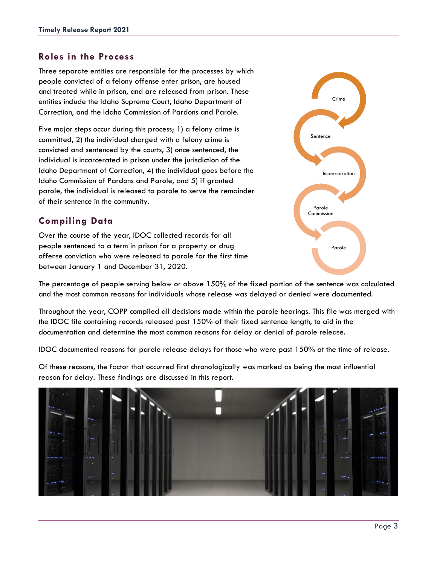#### **Roles in the Process**

Three separate entities are responsible for the processes by which people convicted of a felony offense enter prison, are housed and treated while in prison, and are released from prison. These entities include the Idaho Supreme Court, Idaho Department of Correction, and the Idaho Commission of Pardons and Parole.

Five major steps occur during this process; 1) a felony crime is committed, 2) the individual charged with a felony crime is convicted and sentenced by the courts, 3) once sentenced, the individual is incarcerated in prison under the jurisdiction of the Idaho Department of Correction, 4) the individual goes before the Idaho Commission of Pardons and Parole, and 5) if granted parole, the individual is released to parole to serve the remainder of their sentence in the community.

#### **Compiling Data**

Over the course of the year, IDOC collected records for all people sentenced to a term in prison for a property or drug offense conviction who were released to parole for the first time between January 1 and December 31, 2020.



The percentage of people serving below or above 150% of the fixed portion of the sentence was calculated and the most common reasons for individuals whose release was delayed or denied were documented.

Throughout the year, COPP compiled all decisions made within the parole hearings. This file was merged with the IDOC file containing records released past 150% of their fixed sentence length, to aid in the documentation and determine the most common reasons for delay or denial of parole release.

IDOC documented reasons for parole release delays for those who were past 150% at the time of release.

Of these reasons, the factor that occurred first chronologically was marked as being the most influential reason for delay. These findings are discussed in this report.

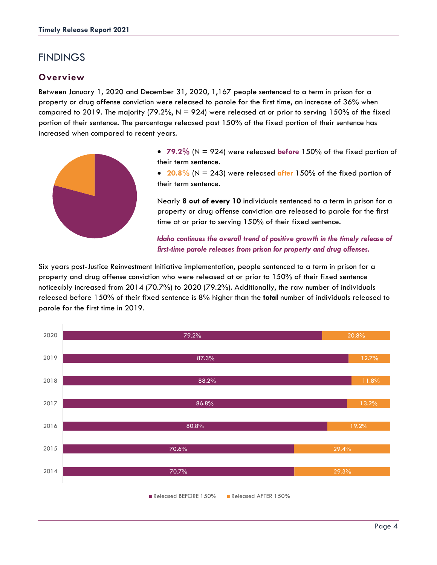## **FINDINGS**

## **Overview**

Between January 1, 2020 and December 31, 2020, 1,167 people sentenced to a term in prison for a property or drug offense conviction were released to parole for the first time, an increase of 36% when compared to 2019. The majority (79.2%,  $N = 924$ ) were released at or prior to serving 150% of the fixed portion of their sentence. The percentage released past 150% of the fixed portion of their sentence has increased when compared to recent years.



• **79.2%** (N = 924) were released **before** 150% of the fixed portion of their term sentence.

• **20.8%** (N = 243) were released **after** 150% of the fixed portion of their term sentence.

Nearly **8 out of every 10** individuals sentenced to a term in prison for a property or drug offense conviction are released to parole for the first time at or prior to serving 150% of their fixed sentence.

Idaho continues the overall trend of positive growth in the timely release of *first-time parole releases from prison for property and drug offenses.*

Six years post-Justice Reinvestment Initiative implementation, people sentenced to a term in prison for a property and drug offense conviction who were released at or prior to 150% of their fixed sentence noticeably increased from 2014 (70.7%) to 2020 (79.2%). Additionally, the raw number of individuals released before 150% of their fixed sentence is 8% higher than the **total** number of individuals released to parole for the first time in 2019.

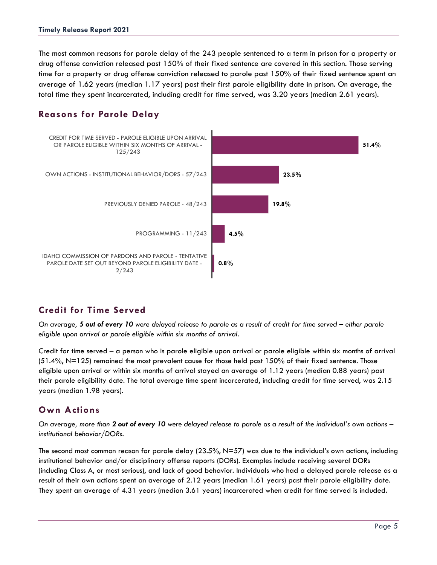The most common reasons for parole delay of the 243 people sentenced to a term in prison for a property or drug offense conviction released past 150% of their fixed sentence are covered in this section. Those serving time for a property or drug offense conviction released to parole past 150% of their fixed sentence spent an average of 1.62 years (median 1.17 years) past their first parole eligibility date in prison. On average, the total time they spent incarcerated, including credit for time served, was 3.20 years (median 2.61 years).

## **Reasons for Parole Delay**



## **Credit for Time Served**

*On average, 5 out of every 10 were delayed release to parole as a result of credit for time served – either parole eligible upon arrival or parole eligible within six months of arrival.*

Credit for time served – a person who is parole eligible upon arrival or parole eligible within six months of arrival  $(51.4\%$ , N=125) remained the most prevalent cause for those held past 150% of their fixed sentence. Those eligible upon arrival or within six months of arrival stayed an average of 1.12 years (median 0.88 years) past their parole eligibility date. The total average time spent incarcerated, including credit for time served, was 2.15 years (median 1.98 years).

## **Own Actions**

*On average, more than 2 out of every 10 were delayed release to parole as a result of the individual's own actions – institutional behavior/DORs.*

The second most common reason for parole delay (23.5%, N=57) was due to the individual's own actions, including institutional behavior and/or disciplinary offense reports (DORs). Examples include receiving several DORs (including Class A, or most serious), and lack of good behavior. Individuals who had a delayed parole release as a result of their own actions spent an average of 2.12 years (median 1.61 years) past their parole eligibility date. They spent an average of 4.31 years (median 3.61 years) incarcerated when credit for time served is included.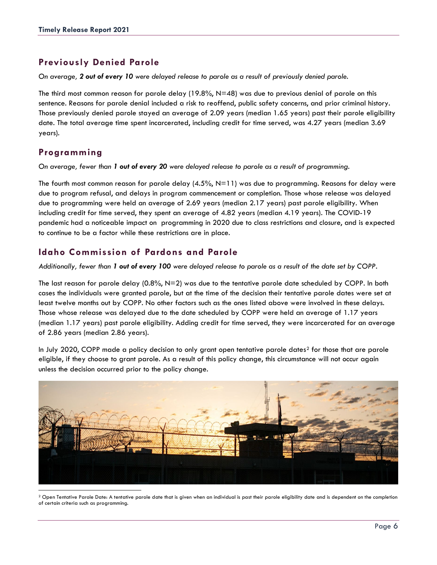## **Previously Denied Parole**

*On average, 2 out of every 10 were delayed release to parole as a result of previously denied parole.*

The third most common reason for parole delay (19.8%,  $N=48$ ) was due to previous denial of parole on this sentence. Reasons for parole denial included a risk to reoffend, public safety concerns, and prior criminal history. Those previously denied parole stayed an average of 2.09 years (median 1.65 years) past their parole eligibility date. The total average time spent incarcerated, including credit for time served, was 4.27 years (median 3.69 years).

## **Programming**

*On average, fewer than 1 out of every 20 were delayed release to parole as a result of programming.*

The fourth most common reason for parole delay  $(4.5\%, N=11)$  was due to programming. Reasons for delay were due to program refusal, and delays in program commencement or completion. Those whose release was delayed due to programming were held an average of 2.69 years (median 2.17 years) past parole eligibility. When including credit for time served, they spent an average of 4.82 years (median 4.19 years). The COVID-19 pandemic had a noticeable impact on programming in 2020 due to class restrictions and closure, and is expected to continue to be a factor while these restrictions are in place.

## **Idaho Commission of Pardons and Parole**

*Additionally, fewer than 1 out of every 100 were delayed release to parole as a result of the date set by COPP.*

The last reason for parole delay (0.8%, N=2) was due to the tentative parole date scheduled by COPP. In both cases the individuals were granted parole, but at the time of the decision their tentative parole dates were set at least twelve months out by COPP. No other factors such as the ones listed above were involved in these delays. Those whose release was delayed due to the date scheduled by COPP were held an average of 1.17 years (median 1.17 years) past parole eligibility. Adding credit for time served, they were incarcerated for an average of 2.86 years (median 2.86 years).

In July [2](#page-6-0)020, COPP made a policy decision to only grant open tentative parole dates<sup>2</sup> for those that are parole eligible, if they choose to grant parole. As a result of this policy change, this circumstance will not occur again unless the decision occurred prior to the policy change.



<span id="page-6-0"></span><sup>2</sup> Open Tentative Parole Date: A tentative parole date that is given when an individual is past their parole eligibility date and is dependent on the completion of certain criteria such as programming.